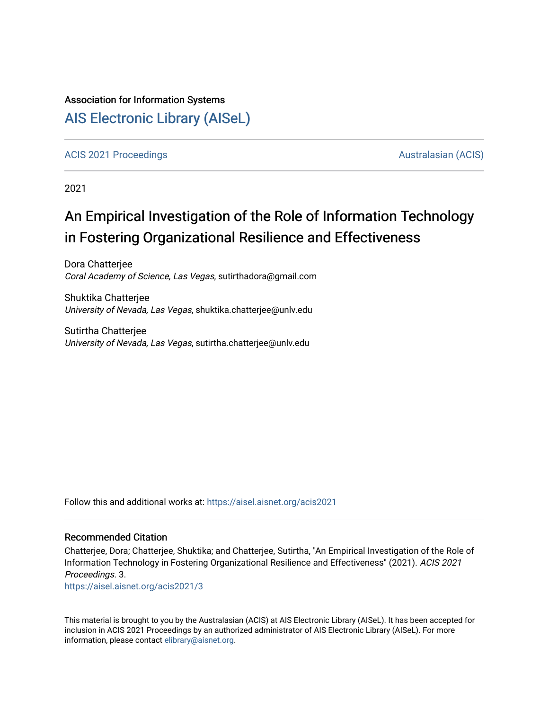### Association for Information Systems

# [AIS Electronic Library \(AISeL\)](https://aisel.aisnet.org/)

#### [ACIS 2021 Proceedings](https://aisel.aisnet.org/acis2021) [Australasian \(ACIS\)](https://aisel.aisnet.org/acis) Australasian (ACIS)

2021

# An Empirical Investigation of the Role of Information Technology in Fostering Organizational Resilience and Effectiveness

Dora Chatterjee Coral Academy of Science, Las Vegas, sutirthadora@gmail.com

Shuktika Chatterjee University of Nevada, Las Vegas, shuktika.chatterjee@unlv.edu

Sutirtha Chatterjee University of Nevada, Las Vegas, sutirtha.chatterjee@unlv.edu

Follow this and additional works at: [https://aisel.aisnet.org/acis2021](https://aisel.aisnet.org/acis2021?utm_source=aisel.aisnet.org%2Facis2021%2F3&utm_medium=PDF&utm_campaign=PDFCoverPages) 

#### Recommended Citation

Chatterjee, Dora; Chatterjee, Shuktika; and Chatterjee, Sutirtha, "An Empirical Investigation of the Role of Information Technology in Fostering Organizational Resilience and Effectiveness" (2021). ACIS 2021 Proceedings. 3.

[https://aisel.aisnet.org/acis2021/3](https://aisel.aisnet.org/acis2021/3?utm_source=aisel.aisnet.org%2Facis2021%2F3&utm_medium=PDF&utm_campaign=PDFCoverPages) 

This material is brought to you by the Australasian (ACIS) at AIS Electronic Library (AISeL). It has been accepted for inclusion in ACIS 2021 Proceedings by an authorized administrator of AIS Electronic Library (AISeL). For more information, please contact [elibrary@aisnet.org.](mailto:elibrary@aisnet.org%3E)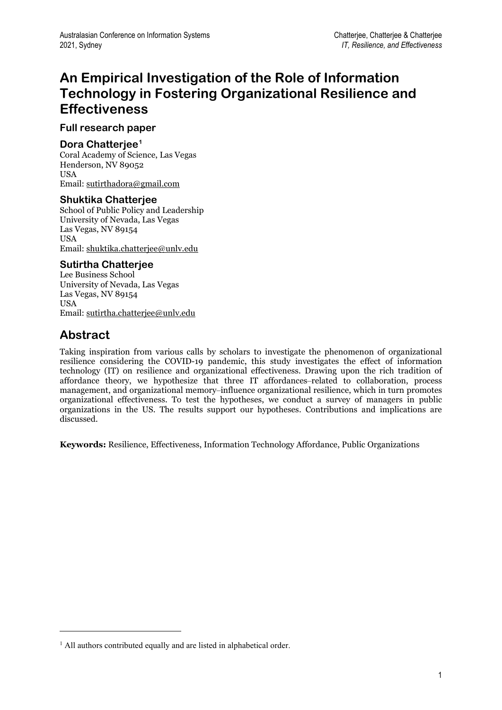# **An Empirical Investigation of the Role of Information Technology in Fostering Organizational Resilience and Effectiveness**

### **Full research paper**

### **Dora Chatterjee[1](#page-1-0)**

Coral Academy of Science, Las Vegas Henderson, NV 89052 **USA** Email[: sutirthadora@gmail.com](mailto:sutirthadora@gmail.com)

#### **Shuktika Chatterjee**

School of Public Policy and Leadership University of Nevada, Las Vegas Las Vegas, NV 89154 USA Email[: shuktika.chatterjee@unlv.edu](mailto:shuktika.chatterjee@unlv.edu)

#### **Sutirtha Chatterjee**

Lee Business School University of Nevada, Las Vegas Las Vegas, NV 89154 **USA** Email: [sutirtha.chatterjee@unlv.edu](mailto:sutirtha.chatterjee@unlv.edu)

## **Abstract**

Taking inspiration from various calls by scholars to investigate the phenomenon of organizational resilience considering the COVID-19 pandemic, this study investigates the effect of information technology (IT) on resilience and organizational effectiveness. Drawing upon the rich tradition of affordance theory, we hypothesize that three IT affordances-related to collaboration, process management, and organizational memory–influence organizational resilience, which in turn promotes organizational effectiveness. To test the hypotheses, we conduct a survey of managers in public organizations in the US. The results support our hypotheses. Contributions and implications are discussed.

**Keywords:** Resilience, Effectiveness, Information Technology Affordance, Public Organizations

<span id="page-1-0"></span><sup>&</sup>lt;sup>1</sup> All authors contributed equally and are listed in alphabetical order.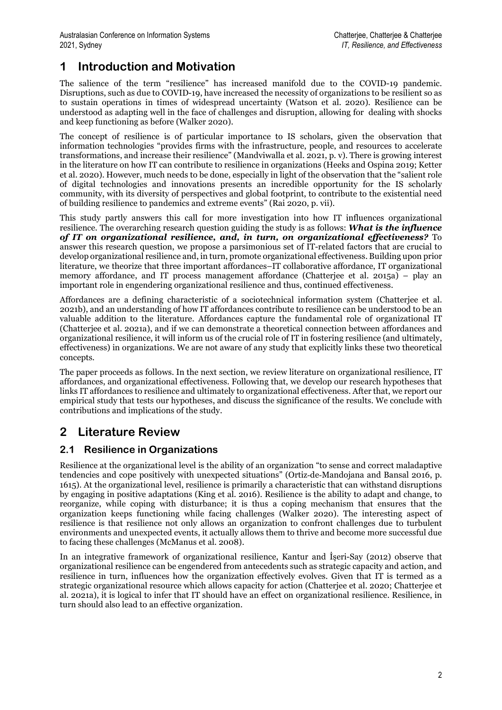## **1 Introduction and Motivation**

The salience of the term "resilience" has increased manifold due to the COVID-19 pandemic. Disruptions, such as due to COVID-19, have increased the necessity of organizations to be resilient so as to sustain operations in times of widespread uncertainty (Watson et al. 2020). Resilience can be understood as adapting well in the face of challenges and disruption, allowing for dealing with shocks and keep functioning as before (Walker 2020).

The concept of resilience is of particular importance to IS scholars, given the observation that information technologies "provides firms with the infrastructure, people, and resources to accelerate transformations, and increase their resilience" (Mandviwalla et al. 2021, p. v). There is growing interest in the literature on how IT can contribute to resilience in organizations (Heeks and Ospina 2019; Ketter et al. 2020). However, much needs to be done, especially in light of the observation that the "salient role of digital technologies and innovations presents an incredible opportunity for the IS scholarly community, with its diversity of perspectives and global footprint, to contribute to the existential need of building resilience to pandemics and extreme events" (Rai 2020, p. vii).

This study partly answers this call for more investigation into how IT influences organizational resilience. The overarching research question guiding the study is as follows: *What is the influence of IT on organizational resilience, and, in turn, on organizational effectiveness?* To answer this research question, we propose a parsimonious set of IT-related factors that are crucial to develop organizational resilience and, in turn, promote organizational effectiveness. Building upon prior literature, we theorize that three important affordances–IT collaborative affordance, IT organizational memory affordance, and IT process management affordance (Chatterjee et al. 2015a) – play an important role in engendering organizational resilience and thus, continued effectiveness.

Affordances are a defining characteristic of a sociotechnical information system (Chatterjee et al. 2021b), and an understanding of how IT affordances contribute to resilience can be understood to be an valuable addition to the literature. Affordances capture the fundamental role of organizational IT (Chatterjee et al. 2021a), and if we can demonstrate a theoretical connection between affordances and organizational resilience, it will inform us of the crucial role of IT in fostering resilience (and ultimately, effectiveness) in organizations. We are not aware of any study that explicitly links these two theoretical concepts.

The paper proceeds as follows. In the next section, we review literature on organizational resilience, IT affordances, and organizational effectiveness. Following that, we develop our research hypotheses that links IT affordances to resilience and ultimately to organizational effectiveness. After that, we report our empirical study that tests our hypotheses, and discuss the significance of the results. We conclude with contributions and implications of the study.

# **2 Literature Review**

## **2.1 Resilience in Organizations**

Resilience at the organizational level is the ability of an organization "to sense and correct maladaptive tendencies and cope positively with unexpected situations" (Ortiz-de-Mandojana and Bansal 2016, p. 1615). At the organizational level, resilience is primarily a characteristic that can withstand disruptions by engaging in positive adaptations (King et al. 2016). Resilience is the ability to adapt and change, to reorganize, while coping with disturbance; it is thus a coping mechanism that ensures that the organization keeps functioning while facing challenges (Walker 2020). The interesting aspect of resilience is that resilience not only allows an organization to confront challenges due to turbulent environments and unexpected events, it actually allows them to thrive and become more successful due to facing these challenges (McManus et al. 2008).

In an integrative framework of organizational resilience, Kantur and İşeri-Say (2012) observe that organizational resilience can be engendered from antecedents such as strategic capacity and action, and resilience in turn, influences how the organization effectively evolves. Given that IT is termed as a strategic organizational resource which allows capacity for action (Chatterjee et al. 2020; Chatterjee et al. 2021a), it is logical to infer that IT should have an effect on organizational resilience. Resilience, in turn should also lead to an effective organization.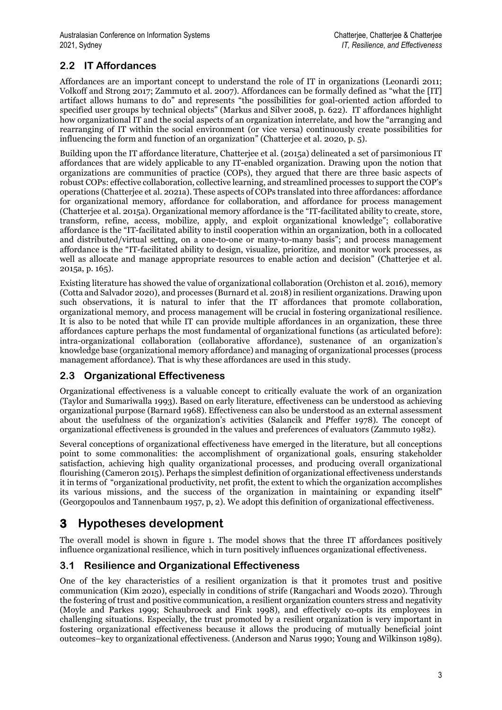## **2.2 IT Affordances**

Affordances are an important concept to understand the role of IT in organizations (Leonardi 2011; Volkoff and Strong 2017; Zammuto et al. 2007). Affordances can be formally defined as "what the [IT] artifact allows humans to do" and represents "the possibilities for goal-oriented action afforded to specified user groups by technical objects" (Markus and Silver 2008, p. 622). IT affordances highlight how organizational IT and the social aspects of an organization interrelate, and how the "arranging and rearranging of IT within the social environment (or vice versa) continuously create possibilities for influencing the form and function of an organization" (Chatterjee et al. 2020, p. 5).

Building upon the IT affordance literature, Chatterjee et al. (2015a) delineated a set of parsimonious IT affordances that are widely applicable to any IT-enabled organization. Drawing upon the notion that organizations are communities of practice (COPs), they argued that there are three basic aspects of robust COPs: effective collaboration, collective learning, and streamlined processes to support the COP's operations (Chatterjee et al. 2021a). These aspects of COPs translated into three affordances: affordance for organizational memory, affordance for collaboration, and affordance for process management (Chatterjee et al. 2015a). Organizational memory affordance is the "IT-facilitated ability to create, store, transform, refine, access, mobilize, apply, and exploit organizational knowledge"; collaborative affordance is the "IT-facilitated ability to instil cooperation within an organization, both in a collocated and distributed/virtual setting, on a one-to-one or many-to-many basis"; and process management affordance is the "IT-facilitated ability to design, visualize, prioritize, and monitor work processes, as well as allocate and manage appropriate resources to enable action and decision" (Chatterjee et al. 2015a, p. 165).

Existing literature has showed the value of organizational collaboration (Orchiston et al. 2016), memory (Cotta and Salvador 2020), and processes (Burnard et al. 2018) in resilient organizations. Drawing upon such observations, it is natural to infer that the IT affordances that promote collaboration, organizational memory, and process management will be crucial in fostering organizational resilience. It is also to be noted that while IT can provide multiple affordances in an organization, these three affordances capture perhaps the most fundamental of organizational functions (as articulated before): intra-organizational collaboration (collaborative affordance), sustenance of an organization's knowledge base (organizational memory affordance) and managing of organizational processes (process management affordance). That is why these affordances are used in this study.

## **2.3 Organizational Effectiveness**

Organizational effectiveness is a valuable concept to critically evaluate the work of an organization (Taylor and Sumariwalla 1993). Based on early literature, effectiveness can be understood as achieving organizational purpose (Barnard 1968). Effectiveness can also be understood as an external assessment about the usefulness of the organization's activities (Salancik and Pfeffer 1978). The concept of organizational effectiveness is grounded in the values and preferences of evaluators (Zammuto 1982).

Several conceptions of organizational effectiveness have emerged in the literature, but all conceptions point to some commonalities: the accomplishment of organizational goals, ensuring stakeholder satisfaction, achieving high quality organizational processes, and producing overall organizational flourishing (Cameron 2015). Perhaps the simplest definition of organizational effectiveness understands it in terms of "organizational productivity, net profit, the extent to which the organization accomplishes its various missions, and the success of the organization in maintaining or expanding itself" (Georgopoulos and Tannenbaum 1957, p, 2). We adopt this definition of organizational effectiveness.

# **3 Hypotheses development**

The overall model is shown in figure 1. The model shows that the three IT affordances positively influence organizational resilience, which in turn positively influences organizational effectiveness.

## **3.1 Resilience and Organizational Effectiveness**

One of the key characteristics of a resilient organization is that it promotes trust and positive communication (Kim 2020), especially in conditions of strife (Rangachari and Woods 2020). Through the fostering of trust and positive communication, a resilient organization counters stress and negativity (Moyle and Parkes 1999; Schaubroeck and Fink 1998), and effectively co-opts its employees in challenging situations. Especially, the trust promoted by a resilient organization is very important in fostering organizational effectiveness because it allows the producing of mutually beneficial joint outcomes–key to organizational effectiveness. (Anderson and Narus 1990; Young and Wilkinson 1989).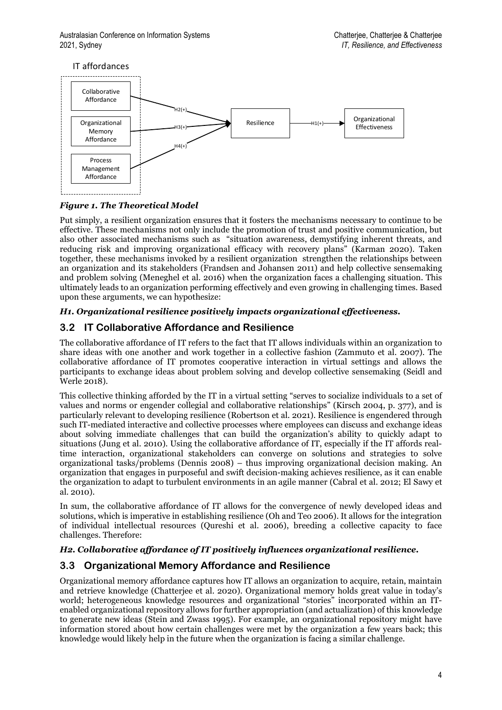

#### *Figure 1. The Theoretical Model*

Put simply, a resilient organization ensures that it fosters the mechanisms necessary to continue to be effective. These mechanisms not only include the promotion of trust and positive communication, but also other associated mechanisms such as "situation awareness, demystifying inherent threats, and reducing risk and improving organizational efficacy with recovery plans" (Karman 2020). Taken together, these mechanisms invoked by a resilient organization strengthen the relationships between an organization and its stakeholders (Frandsen and Johansen 2011) and help collective sensemaking and problem solving (Meneghel et al. 2016) when the organization faces a challenging situation. This ultimately leads to an organization performing effectively and even growing in challenging times. Based upon these arguments, we can hypothesize:

#### *H1. Organizational resilience positively impacts organizational effectiveness.*

## **3.2 IT Collaborative Affordance and Resilience**

The collaborative affordance of IT refers to the fact that IT allows individuals within an organization to share ideas with one another and work together in a collective fashion (Zammuto et al. 2007). The collaborative affordance of IT promotes cooperative interaction in virtual settings and allows the participants to exchange ideas about problem solving and develop collective sensemaking (Seidl and Werle 2018).

This collective thinking afforded by the IT in a virtual setting "serves to socialize individuals to a set of values and norms or engender collegial and collaborative relationships" (Kirsch 2004, p. 377), and is particularly relevant to developing resilience (Robertson et al. 2021). Resilience is engendered through such IT-mediated interactive and collective processes where employees can discuss and exchange ideas about solving immediate challenges that can build the organization's ability to quickly adapt to situations (Jung et al. 2010). Using the collaborative affordance of IT, especially if the IT affords realtime interaction, organizational stakeholders can converge on solutions and strategies to solve organizational tasks/problems (Dennis 2008) – thus improving organizational decision making. An organization that engages in purposeful and swift decision-making achieves resilience, as it can enable the organization to adapt to turbulent environments in an agile manner (Cabral et al. 2012; El Sawy et al. 2010).

In sum, the collaborative affordance of IT allows for the convergence of newly developed ideas and solutions, which is imperative in establishing resilience (Oh and Teo 2006). It allows for the integration of individual intellectual resources (Qureshi et al. 2006), breeding a collective capacity to face challenges. Therefore:

#### *H2. Collaborative affordance of IT positively influences organizational resilience.*

## **3.3 Organizational Memory Affordance and Resilience**

Organizational memory affordance captures how IT allows an organization to acquire, retain, maintain and retrieve knowledge (Chatterjee et al. 2020). Organizational memory holds great value in today's world; heterogeneous knowledge resources and organizational "stories" incorporated within an ITenabled organizational repository allows for further appropriation (and actualization) of this knowledge to generate new ideas (Stein and Zwass 1995). For example, an organizational repository might have information stored about how certain challenges were met by the organization a few years back; this knowledge would likely help in the future when the organization is facing a similar challenge.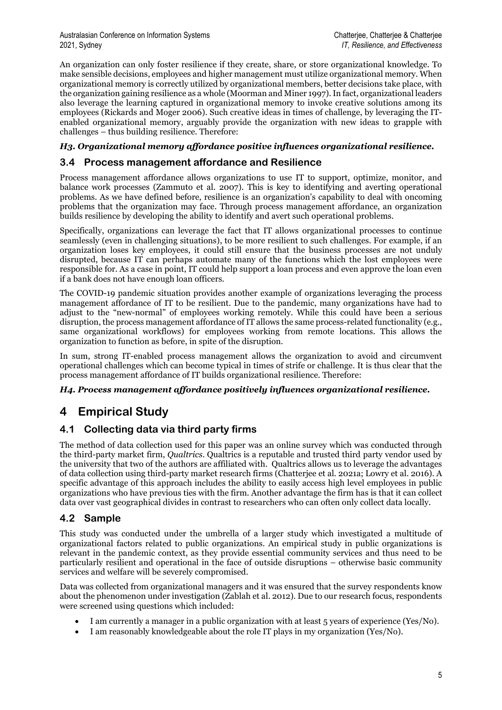An organization can only foster resilience if they create, share, or store organizational knowledge. To make sensible decisions, employees and higher management must utilize organizational memory. When organizational memory is correctly utilized by organizational members, better decisions take place, with the organization gaining resilience as a whole (Moorman and Miner 1997). In fact, organizational leaders also leverage the learning captured in organizational memory to invoke creative solutions among its employees (Rickards and Moger 2006). Such creative ideas in times of challenge, by leveraging the ITenabled organizational memory, arguably provide the organization with new ideas to grapple with challenges – thus building resilience. Therefore:

#### *H3. Organizational memory affordance positive influences organizational resilience.*

### **3.4 Process management affordance and Resilience**

Process management affordance allows organizations to use IT to support, optimize, monitor, and balance work processes (Zammuto et al. 2007). This is key to identifying and averting operational problems. As we have defined before, resilience is an organization's capability to deal with oncoming problems that the organization may face. Through process management affordance, an organization builds resilience by developing the ability to identify and avert such operational problems.

Specifically, organizations can leverage the fact that IT allows organizational processes to continue seamlessly (even in challenging situations), to be more resilient to such challenges. For example, if an organization loses key employees, it could still ensure that the business processes are not unduly disrupted, because IT can perhaps automate many of the functions which the lost employees were responsible for. As a case in point, IT could help support a loan process and even approve the loan even if a bank does not have enough loan officers.

The COVID-19 pandemic situation provides another example of organizations leveraging the process management affordance of IT to be resilient. Due to the pandemic, many organizations have had to adjust to the "new-normal" of employees working remotely. While this could have been a serious disruption, the process management affordance of IT allows the same process-related functionality (e.g., same organizational workflows) for employees working from remote locations. This allows the organization to function as before, in spite of the disruption.

In sum, strong IT-enabled process management allows the organization to avoid and circumvent operational challenges which can become typical in times of strife or challenge. It is thus clear that the process management affordance of IT builds organizational resilience. Therefore:

#### *H4. Process management affordance positively influences organizational resilience.*

## **4 Empirical Study**

## **4.1 Collecting data via third party firms**

The method of data collection used for this paper was an online survey which was conducted through the third-party market firm, *Qualtrics*. Qualtrics is a reputable and trusted third party vendor used by the university that two of the authors are affiliated with. Qualtrics allows us to leverage the advantages of data collection using third-party market research firms (Chatterjee et al. 2021a; Lowry et al. 2016). A specific advantage of this approach includes the ability to easily access high level employees in public organizations who have previous ties with the firm. Another advantage the firm has is that it can collect data over vast geographical divides in contrast to researchers who can often only collect data locally.

### **4.2 Sample**

This study was conducted under the umbrella of a larger study which investigated a multitude of organizational factors related to public organizations. An empirical study in public organizations is relevant in the pandemic context, as they provide essential community services and thus need to be particularly resilient and operational in the face of outside disruptions – otherwise basic community services and welfare will be severely compromised.

Data was collected from organizational managers and it was ensured that the survey respondents know about the phenomenon under investigation (Zablah et al. 2012). Due to our research focus, respondents were screened using questions which included:

- I am currently a manager in a public organization with at least 5 years of experience (Yes/No).
- I am reasonably knowledgeable about the role IT plays in my organization (Yes/No).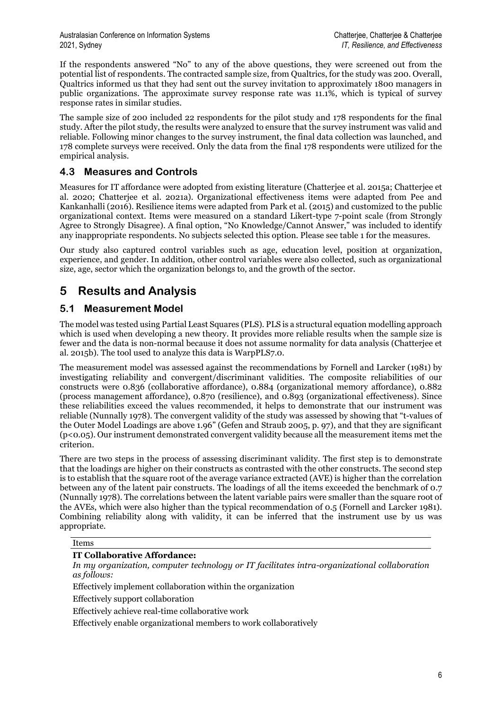If the respondents answered "No" to any of the above questions, they were screened out from the potential list of respondents. The contracted sample size, from Qualtrics, for the study was 200. Overall, Qualtrics informed us that they had sent out the survey invitation to approximately 1800 managers in public organizations. The approximate survey response rate was 11.1%, which is typical of survey response rates in similar studies.

The sample size of 200 included 22 respondents for the pilot study and 178 respondents for the final study. After the pilot study, the results were analyzed to ensure that the survey instrument was valid and reliable. Following minor changes to the survey instrument, the final data collection was launched, and 178 complete surveys were received. Only the data from the final 178 respondents were utilized for the empirical analysis.

## **4.3 Measures and Controls**

Measures for IT affordance were adopted from existing literature (Chatterjee et al. 2015a; Chatterjee et al. 2020; Chatterjee et al. 2021a). Organizational effectiveness items were adapted from Pee and Kankanhalli (2016). Resilience items were adapted from Park et al. (2015) and customized to the public organizational context. Items were measured on a standard Likert-type 7-point scale (from Strongly Agree to Strongly Disagree). A final option, "No Knowledge/Cannot Answer," was included to identify any inappropriate respondents. No subjects selected this option. Please see table 1 for the measures.

Our study also captured control variables such as age, education level, position at organization, experience, and gender. In addition, other control variables were also collected, such as organizational size, age, sector which the organization belongs to, and the growth of the sector.

## **5 Results and Analysis**

## **5.1 Measurement Model**

The model was tested using Partial Least Squares (PLS). PLS is a structural equation modelling approach which is used when developing a new theory. It provides more reliable results when the sample size is fewer and the data is non-normal because it does not assume normality for data analysis (Chatterjee et al. 2015b). The tool used to analyze this data is WarpPLS7.0.

The measurement model was assessed against the recommendations by Fornell and Larcker (1981) by investigating reliability and convergent/discriminant validities. The composite reliabilities of our constructs were 0.836 (collaborative affordance), 0.884 (organizational memory affordance), 0.882 (process management affordance), 0.870 (resilience), and 0.893 (organizational effectiveness). Since these reliabilities exceed the values recommended, it helps to demonstrate that our instrument was reliable (Nunnally 1978). The convergent validity of the study was assessed by showing that "t-values of the Outer Model Loadings are above 1.96" (Gefen and Straub 2005, p. 97), and that they are significant (p<0.05). Our instrument demonstrated convergent validity because all the measurement items met the criterion.

There are two steps in the process of assessing discriminant validity. The first step is to demonstrate that the loadings are higher on their constructs as contrasted with the other constructs. The second step is to establish that the square root of the average variance extracted (AVE) is higher than the correlation between any of the latent pair constructs. The loadings of all the items exceeded the benchmark of 0.7 (Nunnally 1978). The correlations between the latent variable pairs were smaller than the square root of the AVEs, which were also higher than the typical recommendation of 0.5 (Fornell and Larcker 1981). Combining reliability along with validity, it can be inferred that the instrument use by us was appropriate.

#### Items

#### **IT Collaborative Affordance:**

*In my organization, computer technology or IT facilitates intra-organizational collaboration as follows:*

Effectively implement collaboration within the organization

Effectively support collaboration

Effectively achieve real-time collaborative work

Effectively enable organizational members to work collaboratively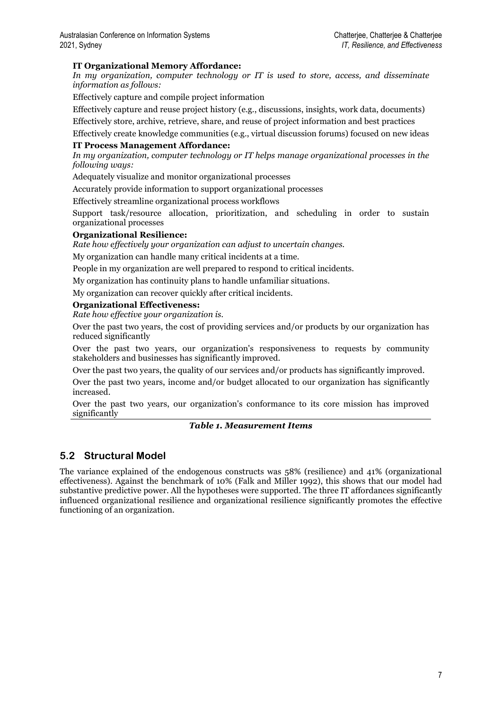#### **IT Organizational Memory Affordance:**

*In my organization, computer technology or IT is used to store, access, and disseminate information as follows:*

Effectively capture and compile project information

Effectively capture and reuse project history (e.g., discussions, insights, work data, documents)

Effectively store, archive, retrieve, share, and reuse of project information and best practices

Effectively create knowledge communities (e.g., virtual discussion forums) focused on new ideas **IT Process Management Affordance:** 

*In my organization, computer technology or IT helps manage organizational processes in the following ways:*

Adequately visualize and monitor organizational processes

Accurately provide information to support organizational processes

Effectively streamline organizational process workflows

Support task/resource allocation, prioritization, and scheduling in order to sustain organizational processes

#### **Organizational Resilience:**

*Rate how effectively your organization can adjust to uncertain changes.*

My organization can handle many critical incidents at a time.

People in my organization are well prepared to respond to critical incidents.

My organization has continuity plans to handle unfamiliar situations.

My organization can recover quickly after critical incidents.

#### **Organizational Effectiveness:**

*Rate how effective your organization is.*

Over the past two years, the cost of providing services and/or products by our organization has reduced significantly

Over the past two years, our organization's responsiveness to requests by community stakeholders and businesses has significantly improved.

Over the past two years, the quality of our services and/or products has significantly improved.

Over the past two years, income and/or budget allocated to our organization has significantly increased.

Over the past two years, our organization's conformance to its core mission has improved significantly

#### *Table 1. Measurement Items*

### **5.2 Structural Model**

The variance explained of the endogenous constructs was 58% (resilience) and 41% (organizational effectiveness). Against the benchmark of 10% (Falk and Miller 1992), this shows that our model had substantive predictive power. All the hypotheses were supported. The three IT affordances significantly influenced organizational resilience and organizational resilience significantly promotes the effective functioning of an organization.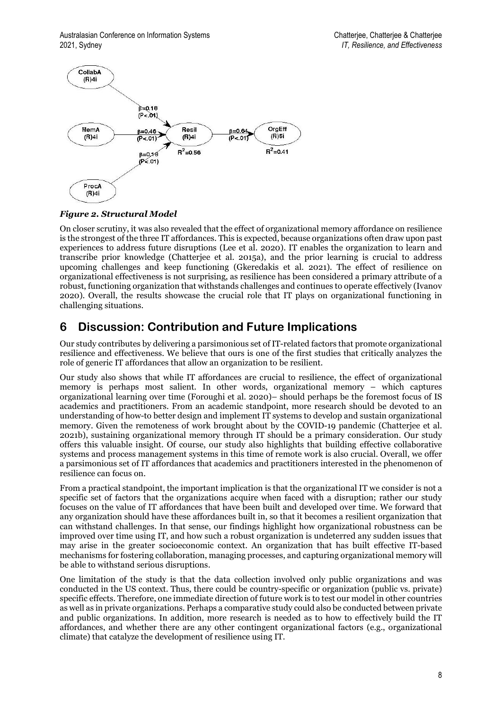

*Figure 2. Structural Model*

On closer scrutiny, it was also revealed that the effect of organizational memory affordance on resilience is the strongest of the three IT affordances. This is expected, because organizations often draw upon past experiences to address future disruptions (Lee et al. 2020). IT enables the organization to learn and transcribe prior knowledge (Chatterjee et al. 2015a), and the prior learning is crucial to address upcoming challenges and keep functioning (Gkeredakis et al. 2021). The effect of resilience on organizational effectiveness is not surprising, as resilience has been considered a primary attribute of a robust, functioning organization that withstands challenges and continues to operate effectively (Ivanov 2020). Overall, the results showcase the crucial role that IT plays on organizational functioning in challenging situations.

## **6 Discussion: Contribution and Future Implications**

Our study contributes by delivering a parsimonious set of IT-related factors that promote organizational resilience and effectiveness. We believe that ours is one of the first studies that critically analyzes the role of generic IT affordances that allow an organization to be resilient.

Our study also shows that while IT affordances are crucial to resilience, the effect of organizational memory is perhaps most salient. In other words, organizational memory – which captures organizational learning over time (Foroughi et al. 2020)– should perhaps be the foremost focus of IS academics and practitioners. From an academic standpoint, more research should be devoted to an understanding of how-to better design and implement IT systems to develop and sustain organizational memory. Given the remoteness of work brought about by the COVID-19 pandemic (Chatterjee et al. 2021b), sustaining organizational memory through IT should be a primary consideration. Our study offers this valuable insight. Of course, our study also highlights that building effective collaborative systems and process management systems in this time of remote work is also crucial. Overall, we offer a parsimonious set of IT affordances that academics and practitioners interested in the phenomenon of resilience can focus on.

From a practical standpoint, the important implication is that the organizational IT we consider is not a specific set of factors that the organizations acquire when faced with a disruption; rather our study focuses on the value of IT affordances that have been built and developed over time. We forward that any organization should have these affordances built in, so that it becomes a resilient organization that can withstand challenges. In that sense, our findings highlight how organizational robustness can be improved over time using IT, and how such a robust organization is undeterred any sudden issues that may arise in the greater socioeconomic context. An organization that has built effective IT-based mechanisms for fostering collaboration, managing processes, and capturing organizational memory will be able to withstand serious disruptions.

One limitation of the study is that the data collection involved only public organizations and was conducted in the US context. Thus, there could be country-specific or organization (public vs. private) specific effects. Therefore, one immediate direction of future work is to test our model in other countries as well as in private organizations. Perhaps a comparative study could also be conducted between private and public organizations. In addition, more research is needed as to how to effectively build the IT affordances, and whether there are any other contingent organizational factors (e.g., organizational climate) that catalyze the development of resilience using IT.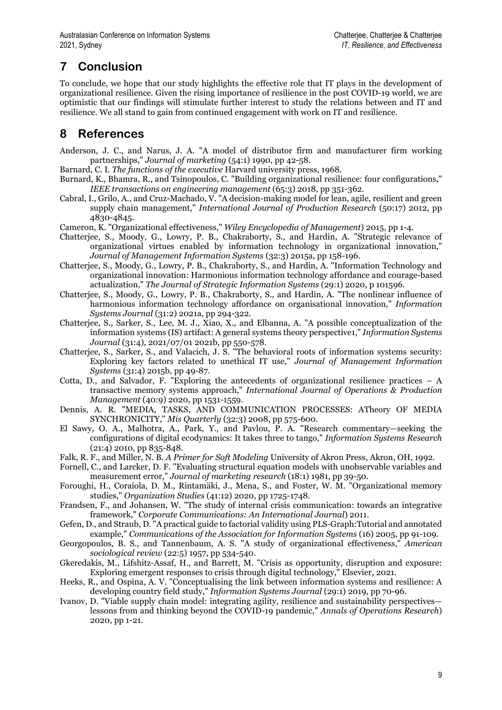# **7 Conclusion**

To conclude, we hope that our study highlights the effective role that IT plays in the development of organizational resilience. Given the rising importance of resilience in the post COVID-19 world, we are optimistic that our findings will stimulate further interest to study the relations between and IT and resilience. We all stand to gain from continued engagement with work on IT and resilience.

## **8 References**

- Anderson, J. C., and Narus, J. A. "A model of distributor firm and manufacturer firm working partnerships," *Journal of marketing* (54:1) 1990, pp 42-58.
- Barnard, C. I. *The functions of the executive* Harvard university press, 1968.
- Burnard, K., Bhamra, R., and Tsinopoulos, C. "Building organizational resilience: four configurations," *IEEE transactions on engineering management* (65:3) 2018, pp 351-362.
- Cabral, I., Grilo, A., and Cruz-Machado, V. "A decision-making model for lean, agile, resilient and green supply chain management," *International Journal of Production Research* (50:17) 2012, pp 4830-4845.
- Cameron, K. "Organizational effectiveness," *Wiley Encyclopedia of Management*) 2015, pp 1-4.
- Chatterjee, S., Moody, G., Lowry, P. B., Chakraborty, S., and Hardin, A. "Strategic relevance of organizational virtues enabled by information technology in organizational innovation," *Journal of Management Information Systems* (32:3) 2015a, pp 158-196.
- Chatterjee, S., Moody, G., Lowry, P. B., Chakraborty, S., and Hardin, A. "Information Technology and organizational innovation: Harmonious information technology affordance and courage-based actualization," *The Journal of Strategic Information Systems* (29:1) 2020, p 101596.
- Chatterjee, S., Moody, G., Lowry, P. B., Chakraborty, S., and Hardin, A. "The nonlinear influence of harmonious information technology affordance on organisational innovation," *Information Systems Journal* (31:2) 2021a, pp 294-322.
- Chatterjee, S., Sarker, S., Lee, M. J., Xiao, X., and Elbanna, A. "A possible conceptualization of the information systems (IS) artifact: A general systems theory perspective1," *Information Systems Journal* (31:4), 2021/07/01 2021b, pp 550-578.
- Chatterjee, S., Sarker, S., and Valacich, J. S. "The behavioral roots of information systems security: Exploring key factors related to unethical IT use," *Journal of Management Information Systems* (31:4) 2015b, pp 49-87.
- Cotta, D., and Salvador, F. "Exploring the antecedents of organizational resilience practices  $A$ transactive memory systems approach," *International Journal of Operations & Production Management* (40:9) 2020, pp 1531-1559.
- Dennis, A. R. "MEDIA, TASKS, AND COMMUNICATION PROCESSES: ATheory OF MEDIA SYNCHRONICITY," *Mis Quarterly* (32:3) 2008, pp 575-600.
- El Sawy, O. A., Malhotra, A., Park, Y., and Pavlou, P. A. "Research commentary—seeking the configurations of digital ecodynamics: It takes three to tango," *Information Systems Research*  $(21:4)$  2010, pp 835-848.
- Falk, R. F., and Miller, N. B. *A Primer for Soft Modeling* University of Akron Press, Akron, OH, 1992.
- Fornell, C., and Larcker, D. F. "Evaluating structural equation models with unobservable variables and measurement error," *Journal of marketing research* (18:1) 1981, pp 39-50.
- Foroughi, H., Coraiola, D. M., Rintamäki, J., Mena, S., and Foster, W. M. "Organizational memory studies," *Organization Studies* (41:12) 2020, pp 1725-1748.
- Frandsen, F., and Johansen, W. "The study of internal crisis communication: towards an integrative framework," *Corporate Communications: An International Journal*) 2011.
- Gefen, D., and Straub, D. "A practical guide to factorial validity using PLS-Graph:Tutorial and annotated example," *Communications of the Association for Information Systems* (16) 2005, pp 91-109.
- Georgopoulos, B. S., and Tannenbaum, A. S. "A study of organizational effectiveness," *American sociological review* (22:5) 1957, pp 534-540.
- Gkeredakis, M., Lifshitz-Assaf, H., and Barrett, M. "Crisis as opportunity, disruption and exposure: Exploring emergent responses to crisis through digital technology," Elsevier, 2021.
- Heeks, R., and Ospina, A. V. "Conceptualising the link between information systems and resilience: A developing country field study," *Information Systems Journal* (29:1) 2019, pp 70-96.
- Ivanov, D. "Viable supply chain model: integrating agility, resilience and sustainability perspectives lessons from and thinking beyond the COVID-19 pandemic," *Annals of Operations Research*) 2020, pp 1-21.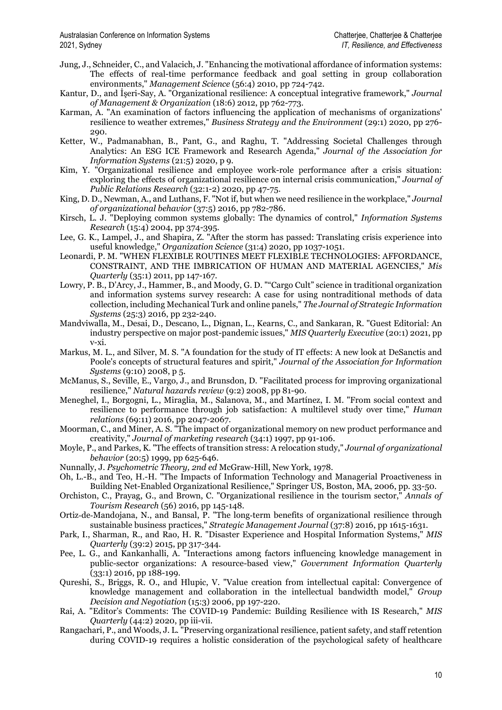- Jung, J., Schneider, C., and Valacich, J. "Enhancing the motivational affordance of information systems: The effects of real-time performance feedback and goal setting in group collaboration environments," *Management Science* (56:4) 2010, pp 724-742.
- Kantur, D., and İşeri-Say, A. "Organizational resilience: A conceptual integrative framework," *Journal of Management & Organization* (18:6) 2012, pp 762-773.
- Karman, A. "An examination of factors influencing the application of mechanisms of organizations' resilience to weather extremes," *Business Strategy and the Environment* (29:1) 2020, pp 276- 290.
- Ketter, W., Padmanabhan, B., Pant, G., and Raghu, T. "Addressing Societal Challenges through Analytics: An ESG ICE Framework and Research Agenda," *Journal of the Association for Information Systems* (21:5) 2020, p 9.
- Kim, Y. "Organizational resilience and employee work-role performance after a crisis situation: exploring the effects of organizational resilience on internal crisis communication," *Journal of Public Relations Research* (32:1-2) 2020, pp 47-75.
- King, D. D., Newman, A., and Luthans, F. "Not if, but when we need resilience in the workplace," *Journal of organizational behavior* (37:5) 2016, pp 782-786.
- Kirsch, L. J. "Deploying common systems globally: The dynamics of control," *Information Systems Research* (15:4) 2004, pp 374-395.
- Lee, G. K., Lampel, J., and Shapira, Z. "After the storm has passed: Translating crisis experience into useful knowledge," *Organization Science* (31:4) 2020, pp 1037-1051.
- Leonardi, P. M. "WHEN FLEXIBLE ROUTINES MEET FLEXIBLE TECHNOLOGIES: AFFORDANCE, CONSTRAINT, AND THE IMBRICATION OF HUMAN AND MATERIAL AGENCIES," *Mis Quarterly* (35:1) 2011, pp 147-167.
- Lowry, P. B., D'Arcy, J., Hammer, B., and Moody, G. D. ""Cargo Cult" science in traditional organization and information systems survey research: A case for using nontraditional methods of data collection, including Mechanical Turk and online panels," *The Journal of Strategic Information Systems* (25:3) 2016, pp 232-240.
- Mandviwalla, M., Desai, D., Descano, L., Dignan, L., Kearns, C., and Sankaran, R. "Guest Editorial: An industry perspective on major post-pandemic issues," *MIS Quarterly Executive* (20:1) 2021, pp v-xi.
- Markus, M. L., and Silver, M. S. "A foundation for the study of IT effects: A new look at DeSanctis and Poole's concepts of structural features and spirit," *Journal of the Association for Information Systems* (9:10) 2008, p 5.
- McManus, S., Seville, E., Vargo, J., and Brunsdon, D. "Facilitated process for improving organizational resilience," *Natural hazards review* (9:2) 2008, pp 81-90.
- Meneghel, I., Borgogni, L., Miraglia, M., Salanova, M., and Martínez, I. M. "From social context and resilience to performance through job satisfaction: A multilevel study over time," *Human relations* (69:11) 2016, pp 2047-2067.
- Moorman, C., and Miner, A. S. "The impact of organizational memory on new product performance and creativity," *Journal of marketing research* (34:1) 1997, pp 91-106.
- Moyle, P., and Parkes, K. "The effects of transition stress: A relocation study," *Journal of organizational behavior* (20:5) 1999, pp 625-646.
- Nunnally, J. *Psychometric Theory, 2nd ed* McGraw-Hill, New York, 1978.
- Oh, L.-B., and Teo, H.-H. "The Impacts of Information Technology and Managerial Proactiveness in Building Net-Enabled Organizational Resilience," Springer US, Boston, MA, 2006, pp. 33-50.
- Orchiston, C., Prayag, G., and Brown, C. "Organizational resilience in the tourism sector," *Annals of Tourism Research* (56) 2016, pp 145-148.
- Ortiz‐de‐Mandojana, N., and Bansal, P. "The long‐term benefits of organizational resilience through sustainable business practices," *Strategic Management Journal* (37:8) 2016, pp 1615-1631.
- Park, I., Sharman, R., and Rao, H. R. "Disaster Experience and Hospital Information Systems," *MIS Quarterly* (39:2) 2015, pp 317-344.
- Pee, L. G., and Kankanhalli, A. "Interactions among factors influencing knowledge management in public-sector organizations: A resource-based view," *Government Information Quarterly* (33:1) 2016, pp 188-199.
- Qureshi, S., Briggs, R. O., and Hlupic, V. "Value creation from intellectual capital: Convergence of knowledge management and collaboration in the intellectual bandwidth model," *Group Decision and Negotiation* (15:3) 2006, pp 197-220.
- Rai, A. "Editor's Comments: The COVID-19 Pandemic: Building Resilience with IS Research," *MIS Quarterly* (44:2) 2020, pp iii-vii.
- Rangachari, P., and Woods, J. L. "Preserving organizational resilience, patient safety, and staff retention during COVID-19 requires a holistic consideration of the psychological safety of healthcare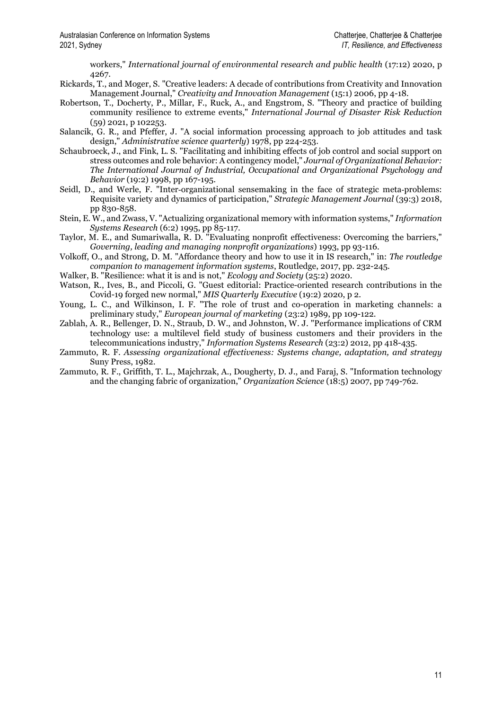workers," *International journal of environmental research and public health* (17:12) 2020, p 4267.

- Rickards, T., and Moger, S. "Creative leaders: A decade of contributions from Creativity and Innovation Management Journal," *Creativity and Innovation Management* (15:1) 2006, pp 4-18.
- Robertson, T., Docherty, P., Millar, F., Ruck, A., and Engstrom, S. "Theory and practice of building community resilience to extreme events," *International Journal of Disaster Risk Reduction* (59) 2021, p 102253.
- Salancik, G. R., and Pfeffer, J. "A social information processing approach to job attitudes and task design," *Administrative science quarterly*) 1978, pp 224-253.
- Schaubroeck, J., and Fink, L. S. "Facilitating and inhibiting effects of job control and social support on stress outcomes and role behavior: A contingency model," *Journal of Organizational Behavior: The International Journal of Industrial, Occupational and Organizational Psychology and Behavior* (19:2) 1998, pp 167-195.
- Seidl, D., and Werle, F. "Inter-organizational sensemaking in the face of strategic meta-problems: Requisite variety and dynamics of participation," *Strategic Management Journal* (39:3) 2018, pp 830-858.
- Stein, E. W., and Zwass, V. "Actualizing organizational memory with information systems," *Information Systems Research* (6:2) 1995, pp 85-117.
- Taylor, M. E., and Sumariwalla, R. D. "Evaluating nonprofit effectiveness: Overcoming the barriers," *Governing, leading and managing nonprofit organizations*) 1993, pp 93-116.
- Volkoff, O., and Strong, D. M. "Affordance theory and how to use it in IS research," in: *The routledge companion to management information systems*, Routledge, 2017, pp. 232-245.
- Walker, B. "Resilience: what it is and is not," *Ecology and Society* (25:2) 2020.
- Watson, R., Ives, B., and Piccoli, G. "Guest editorial: Practice-oriented research contributions in the Covid-19 forged new normal," *MIS Quarterly Executive* (19:2) 2020, p 2.
- Young, L. C., and Wilkinson, I. F. "The role of trust and co-operation in marketing channels: a preliminary study," *European journal of marketing* (23:2) 1989, pp 109-122.
- Zablah, A. R., Bellenger, D. N., Straub, D. W., and Johnston, W. J. "Performance implications of CRM technology use: a multilevel field study of business customers and their providers in the telecommunications industry," *Information Systems Research* (23:2) 2012, pp 418-435.
- Zammuto, R. F. *Assessing organizational effectiveness: Systems change, adaptation, and strategy* Suny Press, 1982.
- Zammuto, R. F., Griffith, T. L., Majchrzak, A., Dougherty, D. J., and Faraj, S. "Information technology and the changing fabric of organization," *Organization Science* (18:5) 2007, pp 749-762.